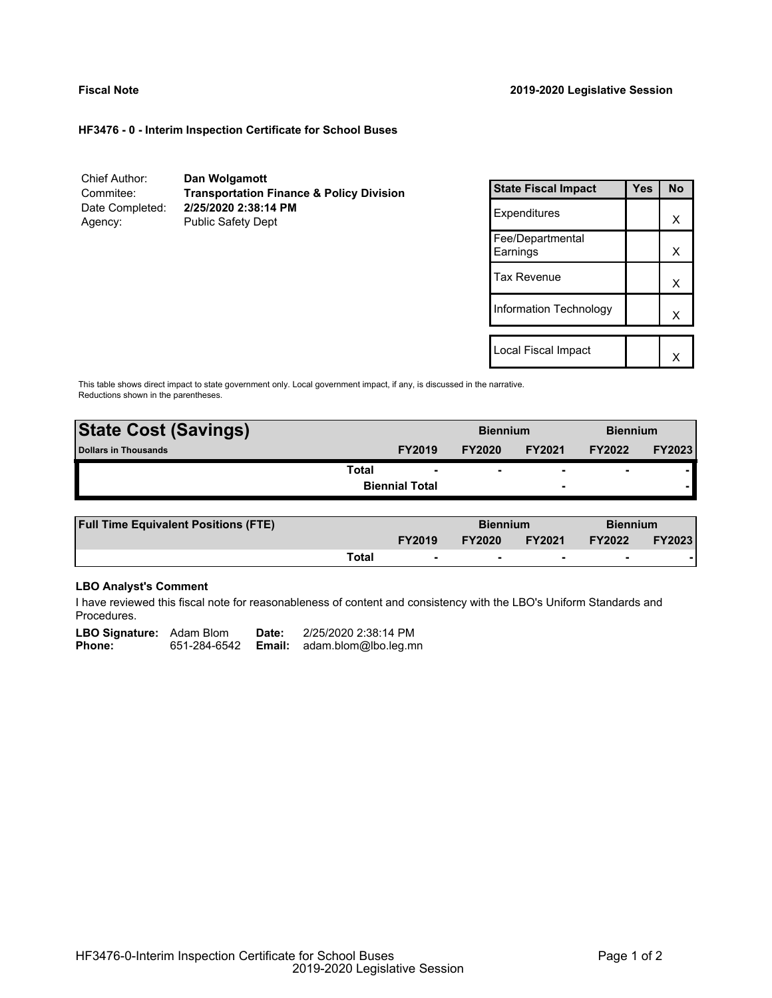# **HF3476 - 0 - Interim Inspection Certificate for School Buses**

| Chief Author:   | Dan Wolgamott                                       |
|-----------------|-----------------------------------------------------|
| Commitee:       | <b>Transportation Finance &amp; Policy Division</b> |
| Date Completed: | 2/25/2020 2:38:14 PM                                |
| Agency:         | <b>Public Safety Dept</b>                           |

| <b>State Fiscal Impact</b>   | Yes | <b>No</b> |  |
|------------------------------|-----|-----------|--|
| Expenditures                 |     | x         |  |
| Fee/Departmental<br>Earnings |     | х         |  |
| <b>Tax Revenue</b>           |     | X         |  |
| Information Technology       |     | x         |  |
|                              |     |           |  |
| Local Fiscal Impact          |     |           |  |

This table shows direct impact to state government only. Local government impact, if any, is discussed in the narrative. Reductions shown in the parentheses.

| <b>State Cost (Savings)</b> |                       | <b>Biennium</b> |                          | <b>Biennium</b>          |        |
|-----------------------------|-----------------------|-----------------|--------------------------|--------------------------|--------|
| Dollars in Thousands        | <b>FY2019</b>         | <b>FY2020</b>   | <b>FY2021</b>            | <b>FY2022</b>            | FY2023 |
| <b>Total</b>                |                       |                 | $\overline{\phantom{0}}$ | $\overline{\phantom{0}}$ |        |
|                             | <b>Biennial Total</b> |                 | $\overline{\phantom{0}}$ |                          |        |
|                             |                       |                 |                          |                          |        |

| <b>Full Time Equivalent Positions (FTE)</b> |       |                          | <b>Biennium</b> |               | <b>Biennium</b> |               |
|---------------------------------------------|-------|--------------------------|-----------------|---------------|-----------------|---------------|
|                                             |       | <b>FY2019</b>            | <b>FY2020</b>   | <b>FY2021</b> | <b>FY2022</b>   | <b>FY2023</b> |
|                                             | Total | $\overline{\phantom{0}}$ |                 |               |                 |               |

# **LBO Analyst's Comment**

I have reviewed this fiscal note for reasonableness of content and consistency with the LBO's Uniform Standards and Procedures.

| <b>LBO Signature:</b> Adam Blom |              | Date:  | 2/25/2020 2:38:14 PM |
|---------------------------------|--------------|--------|----------------------|
| Phone:                          | 651-284-6542 | Email: | adam.blom@lbo.leg.mn |